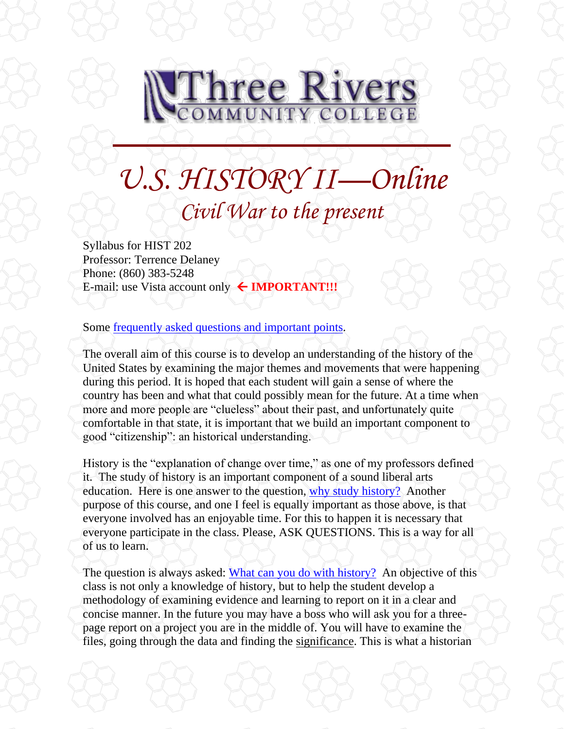

# *U.S. HISTORY II—Online Civil War to the present*

Syllabus for HIST 202 Professor: Terrence Delaney Phone: (860) 383-5248 E-mail: use Vista account only **IMPORTANT!!!**

Some frequently [asked questions and important points.](file://///sysdwardite.commnet.edu/trcc$/www/Prog_Study/Soc_Sciences/history/delaney/ushist2dl/faq.htm)

The overall aim of this course is to develop an understanding of the history of the United States by examining the major themes and movements that were happening during this period. It is hoped that each student will gain a sense of where the country has been and what that could possibly mean for the future. At a time when more and more people are "clueless" about their past, and unfortunately quite comfortable in that state, it is important that we build an important component to good "citizenship": an historical understanding.

History is the "explanation of change over time," as one of my professors defined it. The study of history is an important component of a sound liberal arts education. Here is one answer to the question, [why study history?](http://history.hanover.edu/why.html) Another purpose of this course, and one I feel is equally important as those above, is that everyone involved has an enjoyable time. For this to happen it is necessary that everyone participate in the class. Please, ASK QUESTIONS. This is a way for all of us to learn.

The question is always asked: [What can you do with history?](http://www.trcc.commnet.edu/Prog_Study/Soc_Sciences/history/careeropportunities.htm) An objective of this class is not only a knowledge of history, but to help the student develop a methodology of examining evidence and learning to report on it in a clear and concise manner. In the future you may have a boss who will ask you for a threepage report on a project you are in the middle of. You will have to examine the files, going through the data and finding the significance. This is what a historian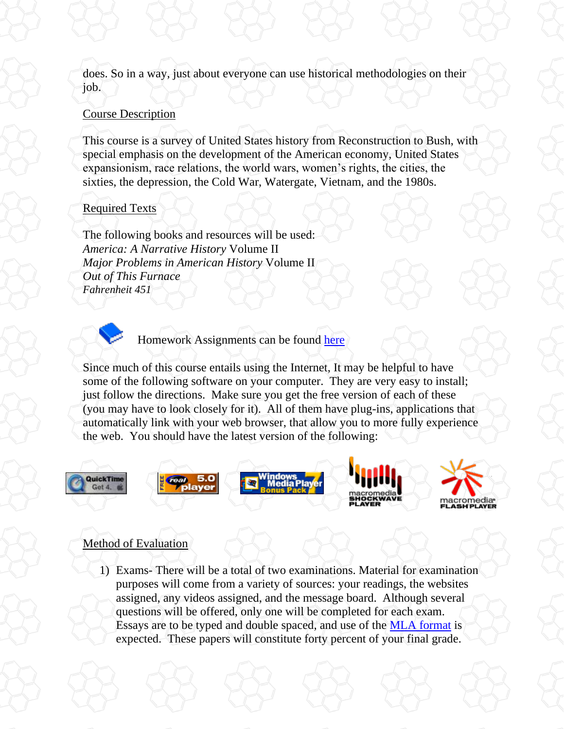does. So in a way, just about everyone can use historical methodologies on their job.

### Course Description

This course is a survey of United States history from Reconstruction to Bush, with special emphasis on the development of the American economy, United States expansionism, race relations, the world wars, women's rights, the cities, the sixties, the depression, the Cold War, Watergate, Vietnam, and the 1980s.

## Required Texts

The following books and resources will be used: *America: A Narrative History* Volume II *Major Problems in American History* Volume II *Out of This Furnace Fahrenheit 451*



Homework Assignments can be found [here](file://///sysdwardite.commnet.edu/trcc$/www/Prog_Study/Soc_Sciences/history/delaney/ushist2dl/readlist.htm)

Since much of this course entails using the Internet, It may be helpful to have some of the following software on your computer. They are very easy to install; just follow the directions. Make sure you get the free version of each of these (you may have to look closely for it). All of them have plug-ins, applications that automatically link with your web browser, that allow you to more fully experience the web. You should have the latest version of the following:



# Method of Evaluation

1) Exams- There will be a total of two examinations. Material for examination purposes will come from a variety of sources: your readings, the websites assigned, any videos assigned, and the message board. Although several questions will be offered, only one will be completed for each exam. Essays are to be typed and double spaced, and use of the [MLA format](http://owl.english.purdue.edu/handouts/research/r_mla.html) is expected. These papers will constitute forty percent of your final grade.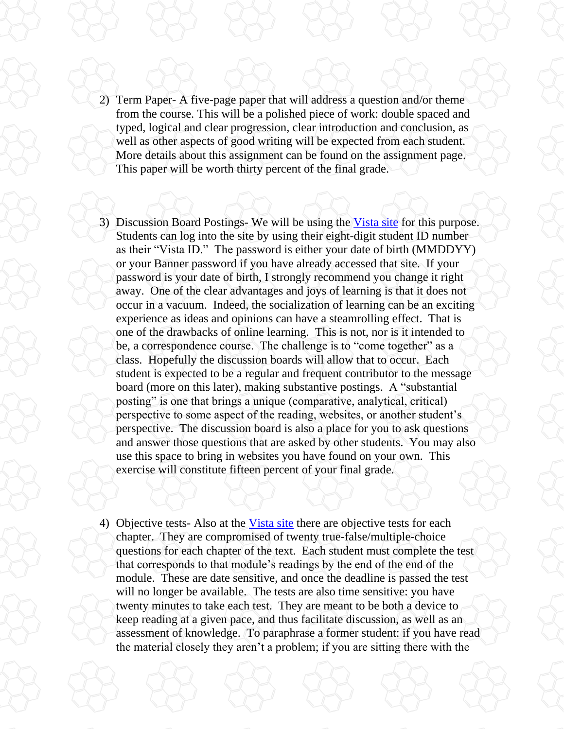- 2) Term Paper- A five-page paper that will address a question and/or theme from the course. This will be a polished piece of work: double spaced and typed, logical and clear progression, clear introduction and conclusion, as well as other aspects of good writing will be expected from each student. More details about this assignment can be found on the assignment page. This paper will be worth thirty percent of the final grade.
- 3) Discussion Board Postings- We will be using the [Vista site](http://vista.ctdlc.org/) for this purpose. Students can log into the site by using their eight-digit student ID number as their "Vista ID." The password is either your date of birth (MMDDYY) or your Banner password if you have already accessed that site. If your password is your date of birth, I strongly recommend you change it right away. One of the clear advantages and joys of learning is that it does not occur in a vacuum. Indeed, the socialization of learning can be an exciting experience as ideas and opinions can have a steamrolling effect. That is one of the drawbacks of online learning. This is not, nor is it intended to be, a correspondence course. The challenge is to "come together" as a class. Hopefully the discussion boards will allow that to occur. Each student is expected to be a regular and frequent contributor to the message board (more on this later), making substantive postings. A "substantial posting" is one that brings a unique (comparative, analytical, critical) perspective to some aspect of the reading, websites, or another student's perspective. The discussion board is also a place for you to ask questions and answer those questions that are asked by other students. You may also use this space to bring in websites you have found on your own. This exercise will constitute fifteen percent of your final grade.
- 4) Objective tests- Also at the [Vista site](http://vista.ctdlc.org/) there are objective tests for each chapter. They are compromised of twenty true-false/multiple-choice questions for each chapter of the text. Each student must complete the test that corresponds to that module's readings by the end of the end of the module. These are date sensitive, and once the deadline is passed the test will no longer be available. The tests are also time sensitive: you have twenty minutes to take each test. They are meant to be both a device to keep reading at a given pace, and thus facilitate discussion, as well as an assessment of knowledge. To paraphrase a former student: if you have read the material closely they aren't a problem; if you are sitting there with the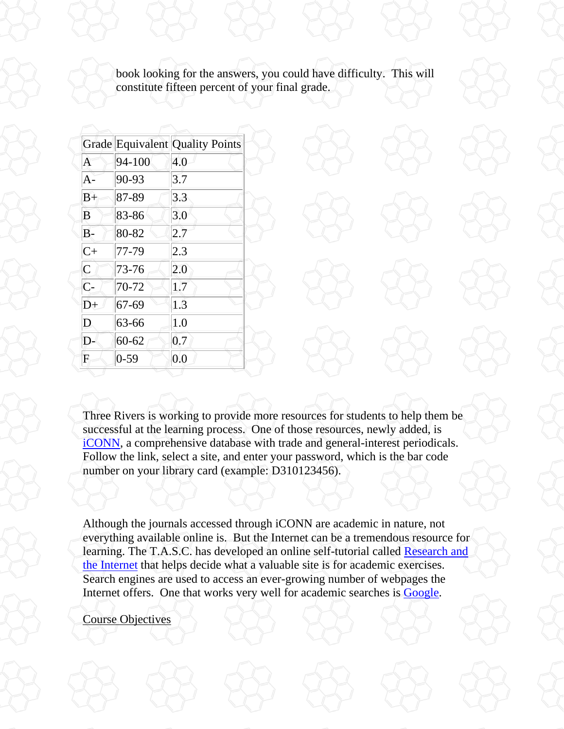book looking for the answers, you could have difficulty. This will constitute fifteen percent of your final grade.

|                  |           | <b>Grade Equivalent Quality Points</b> |
|------------------|-----------|----------------------------------------|
| Ă                | 94-100    | 4.0                                    |
| $A -$            | 90-93     | 3.7                                    |
| $B+$             | 87-89     | 3.3                                    |
| B                | 83-86     | 3.0                                    |
| $B -$            | 80-82     | 2.7                                    |
| $C+$             | 77-79     | 2.3                                    |
| $\overline{C}$   | 73-76     | 2.0                                    |
| $\overline{C}$ - | 70-72     | 1.7                                    |
| D+               | 67-69     | 1.3                                    |
| D                | 63-66     | 1.0                                    |
| D-               | $60 - 62$ | 0.7                                    |
| F                | $0 - 59$  | 0.0                                    |

Three Rivers is working to provide more resources for students to help them be successful at the learning process. One of those resources, newly added, is [iCONN,](http://www.iconn.org/colleges_remote.html) a comprehensive database with trade and general-interest periodicals. Follow the link, select a site, and enter your password, which is the bar code number on your library card (example: D310123456).

Although the journals accessed through iCONN are academic in nature, not everything available online is. But the Internet can be a tremendous resource for learning. The T.A.S.C. has developed an online self-tutorial called [Research and](http://www.trcc.commnet.edu/Ed_Resources/TASC/Internet/TASC%20Internet_files/frame.htm)  [the Internet](http://www.trcc.commnet.edu/Ed_Resources/TASC/Internet/TASC%20Internet_files/frame.htm) that helps decide what a valuable site is for academic exercises. Search engines are used to access an ever-growing number of webpages the Internet offers. One that works very well for academic searches is [Google.](http://www.google.com/)

Course Objectives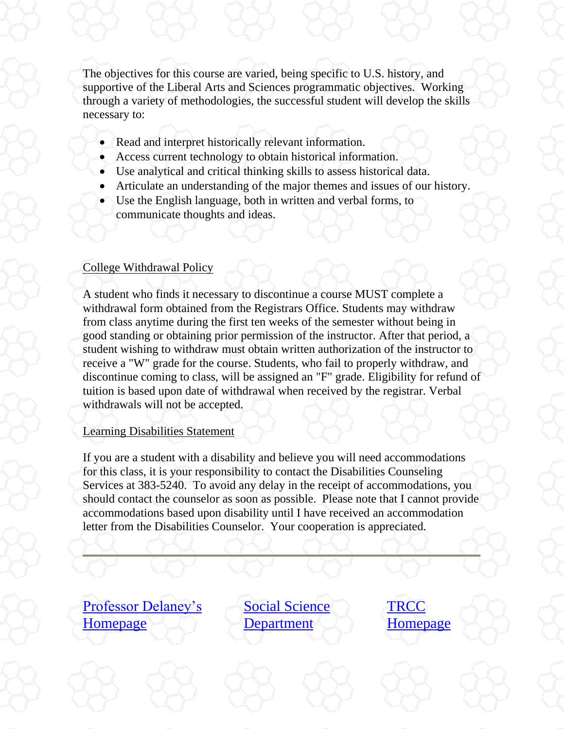The objectives for this course are varied, being specific to U.S. history, and supportive of the Liberal Arts and Sciences programmatic objectives. Working through a variety of methodologies, the successful student will develop the skills necessary to:

- Read and interpret historically relevant information.
- Access current technology to obtain historical information.
- Use analytical and critical thinking skills to assess historical data.
- Articulate an understanding of the major themes and issues of our history.
- Use the English language, both in written and verbal forms, to communicate thoughts and ideas.

#### College Withdrawal Policy

A student who finds it necessary to discontinue a course MUST complete a withdrawal form obtained from the Registrars Office. Students may withdraw from class anytime during the first ten weeks of the semester without being in good standing or obtaining prior permission of the instructor. After that period, a student wishing to withdraw must obtain written authorization of the instructor to receive a "W" grade for the course. Students, who fail to properly withdraw, and discontinue coming to class, will be assigned an "F" grade. Eligibility for refund of tuition is based upon date of withdrawal when received by the registrar. Verbal withdrawals will not be accepted.

#### Learning Disabilities Statement

If you are a student with a disability and believe you will need accommodations for this class, it is your responsibility to contact the Disabilities Counseling Services at 383-5240. To avoid any delay in the receipt of accommodations, you should contact the counselor as soon as possible. Please note that I cannot provide accommodations based upon disability until I have received an accommodation letter from the Disabilities Counselor. Your cooperation is appreciated.

[Professor Delaney's](http://www.trcc.commnet.edu/Prog_Study/Soc_Sciences/history/delaney.htm)  [Homepage](http://www.trcc.commnet.edu/Prog_Study/Soc_Sciences/history/delaney.htm)

[Social Science](http://www.trcc.commnet.edu/Prog_Study/Soc_Sciences/Index1.htm)  **[Department](http://www.trcc.commnet.edu/Prog_Study/Soc_Sciences/Index1.htm)** 

**TRCC** [Homepage](http://www.trcc.commnet.edu/)